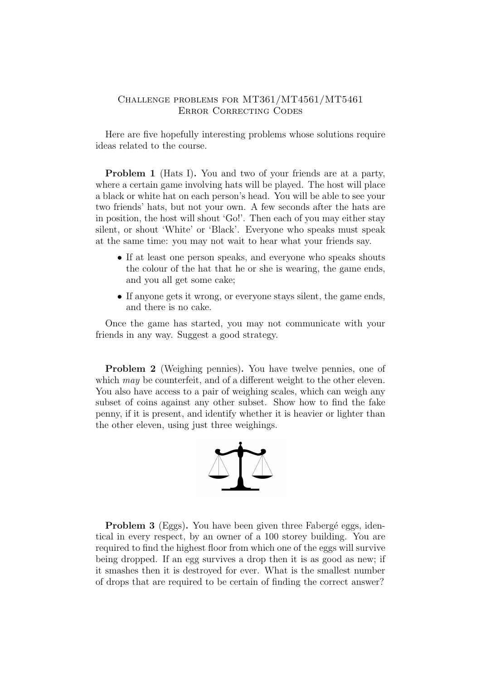## Challenge problems for MT361/MT4561/MT5461 Error Correcting Codes

Here are five hopefully interesting problems whose solutions require ideas related to the course.

Problem 1 (Hats I). You and two of your friends are at a party, where a certain game involving hats will be played. The host will place a black or white hat on each person's head. You will be able to see your two friends' hats, but not your own. A few seconds after the hats are in position, the host will shout 'Go!'. Then each of you may either stay silent, or shout 'White' or 'Black'. Everyone who speaks must speak at the same time: you may not wait to hear what your friends say.

- If at least one person speaks, and everyone who speaks shouts the colour of the hat that he or she is wearing, the game ends, and you all get some cake;
- If anyone gets it wrong, or everyone stays silent, the game ends, and there is no cake.

Once the game has started, you may not communicate with your friends in any way. Suggest a good strategy.

Problem 2 (Weighing pennies). You have twelve pennies, one of which may be counterfeit, and of a different weight to the other eleven. You also have access to a pair of weighing scales, which can weigh any subset of coins against any other subset. Show how to find the fake penny, if it is present, and identify whether it is heavier or lighter than the other eleven, using just three weighings.



**Problem 3** (Eggs). You have been given three Fabergé eggs, identical in every respect, by an owner of a 100 storey building. You are required to find the highest floor from which one of the eggs will survive being dropped. If an egg survives a drop then it is as good as new; if it smashes then it is destroyed for ever. What is the smallest number of drops that are required to be certain of finding the correct answer?